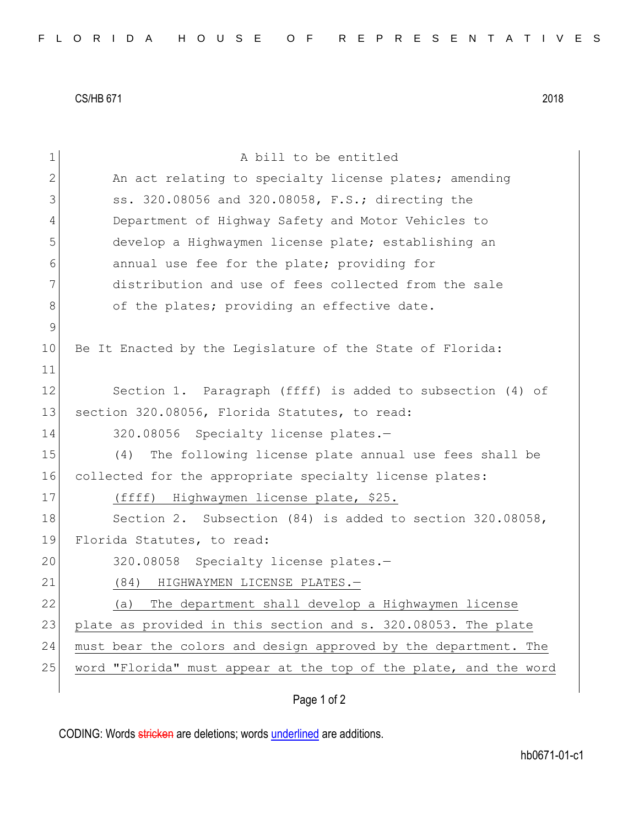CS/HB 671 2018

| $\mathbf 1$ | A bill to be entitled                                            |
|-------------|------------------------------------------------------------------|
| 2           | An act relating to specialty license plates; amending            |
| 3           | ss. 320.08056 and 320.08058, F.S.; directing the                 |
| 4           | Department of Highway Safety and Motor Vehicles to               |
| 5           | develop a Highwaymen license plate; establishing an              |
| 6           | annual use fee for the plate; providing for                      |
| 7           | distribution and use of fees collected from the sale             |
| 8           | of the plates; providing an effective date.                      |
| $\mathsf 9$ |                                                                  |
| 10          | Be It Enacted by the Legislature of the State of Florida:        |
| 11          |                                                                  |
| 12          | Section 1. Paragraph (ffff) is added to subsection (4) of        |
| 13          | section 320.08056, Florida Statutes, to read:                    |
| 14          | 320.08056 Specialty license plates.-                             |
| 15          | The following license plate annual use fees shall be<br>(4)      |
| 16          | collected for the appropriate specialty license plates:          |
| 17          | (ffff) Highwaymen license plate, \$25.                           |
| 18          | Section 2. Subsection (84) is added to section 320.08058,        |
| 19          | Florida Statutes, to read:                                       |
| 20          | 320.08058 Specialty license plates.-                             |
| 21          | (84)<br>HIGHWAYMEN LICENSE PLATES.-                              |
| 22          | The department shall develop a Highwaymen license<br>(a)         |
| 23          | plate as provided in this section and s. 320.08053. The plate    |
| 24          | must bear the colors and design approved by the department. The  |
| 25          | word "Florida" must appear at the top of the plate, and the word |
|             |                                                                  |

## Page 1 of 2

CODING: Words stricken are deletions; words underlined are additions.